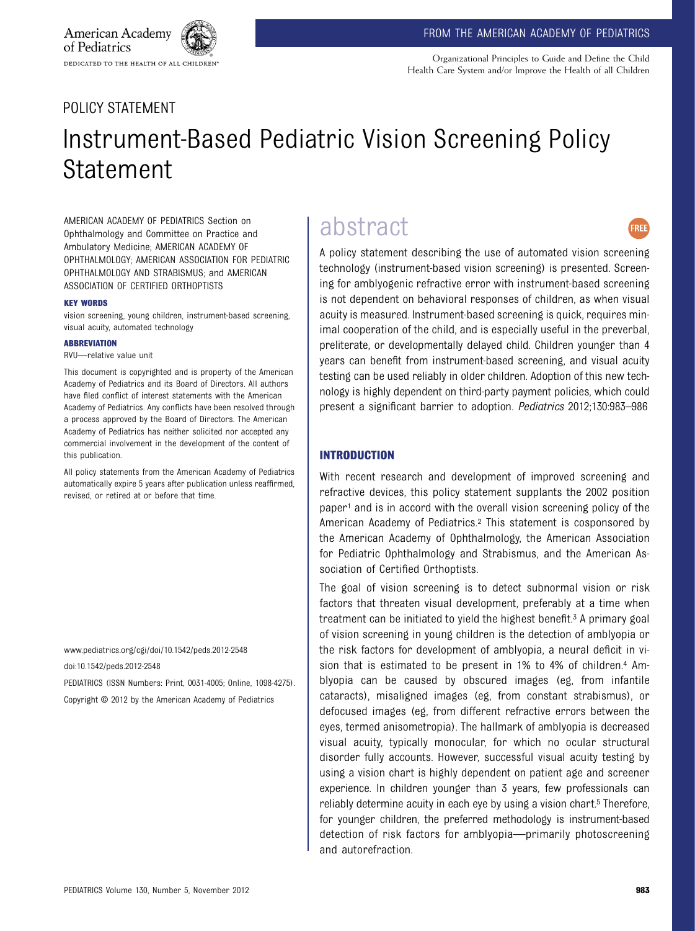Organizational Principles to Guide and Define the Child Health Care System and/or Improve the Health of all Children

## POLICY STATEMENT

American Academy

DEDICATED TO THE HEALTH OF ALL CHILDREN"

of Pediatrics

# Instrument-Based Pediatric Vision Screening Policy Statement

AMERICAN ACADEMY OF PEDIATRICS Section on Ophthalmology and Committee on Practice and Ambulatory Medicine; AMERICAN ACADEMY OF OPHTHALMOLOGY; AMERICAN ASSOCIATION FOR PEDIATRIC OPHTHALMOLOGY AND STRABISMUS; and AMERICAN ASSOCIATION OF CERTIFIED ORTHOPTISTS

#### KEY WORDS

vision screening, young children, instrument-based screening, visual acuity, automated technology

#### **ABBREVIATION**

RVU—relative value unit

This document is copyrighted and is property of the American Academy of Pediatrics and its Board of Directors. All authors have filed conflict of interest statements with the American Academy of Pediatrics. Any conflicts have been resolved through a process approved by the Board of Directors. The American Academy of Pediatrics has neither solicited nor accepted any commercial involvement in the development of the content of this publication.

All policy statements from the American Academy of Pediatrics automatically expire 5 years after publication unless reaffirmed, revised, or retired at or before that time.

www.pediatrics.org/cgi/doi/10.1542/peds.2012-2548 doi:10.1542/peds.2012-2548

PEDIATRICS (ISSN Numbers: Print, 0031-4005; Online, 1098-4275). Copyright © 2012 by the American Academy of Pediatrics

## abstract

A policy statement describing the use of automated vision screening technology (instrument-based vision screening) is presented. Screening for amblyogenic refractive error with instrument-based screening is not dependent on behavioral responses of children, as when visual acuity is measured. Instrument-based screening is quick, requires minimal cooperation of the child, and is especially useful in the preverbal, preliterate, or developmentally delayed child. Children younger than 4 years can benefit from instrument-based screening, and visual acuity testing can be used reliably in older children. Adoption of this new technology is highly dependent on third-party payment policies, which could present a significant barrier to adoption. Pediatrics 2012;130:983–986

## INTRODUCTION

With recent research and development of improved screening and refractive devices, this policy statement supplants the 2002 position paper<sup>1</sup> and is in accord with the overall vision screening policy of the American Academy of Pediatrics.2 This statement is cosponsored by the American Academy of Ophthalmology, the American Association for Pediatric Ophthalmology and Strabismus, and the American Association of Certified Orthoptists.

The goal of vision screening is to detect subnormal vision or risk factors that threaten visual development, preferably at a time when treatment can be initiated to yield the highest benefit.<sup>3</sup> A primary goal of vision screening in young children is the detection of amblyopia or the risk factors for development of amblyopia, a neural deficit in vision that is estimated to be present in 1% to 4% of children.<sup>4</sup> Amblyopia can be caused by obscured images (eg, from infantile cataracts), misaligned images (eg, from constant strabismus), or defocused images (eg, from different refractive errors between the eyes, termed anisometropia). The hallmark of amblyopia is decreased visual acuity, typically monocular, for which no ocular structural disorder fully accounts. However, successful visual acuity testing by using a vision chart is highly dependent on patient age and screener experience. In children younger than 3 years, few professionals can reliably determine acuity in each eye by using a vision chart.<sup>5</sup> Therefore, for younger children, the preferred methodology is instrument-based detection of risk factors for amblyopia—primarily photoscreening and autorefraction.

FREE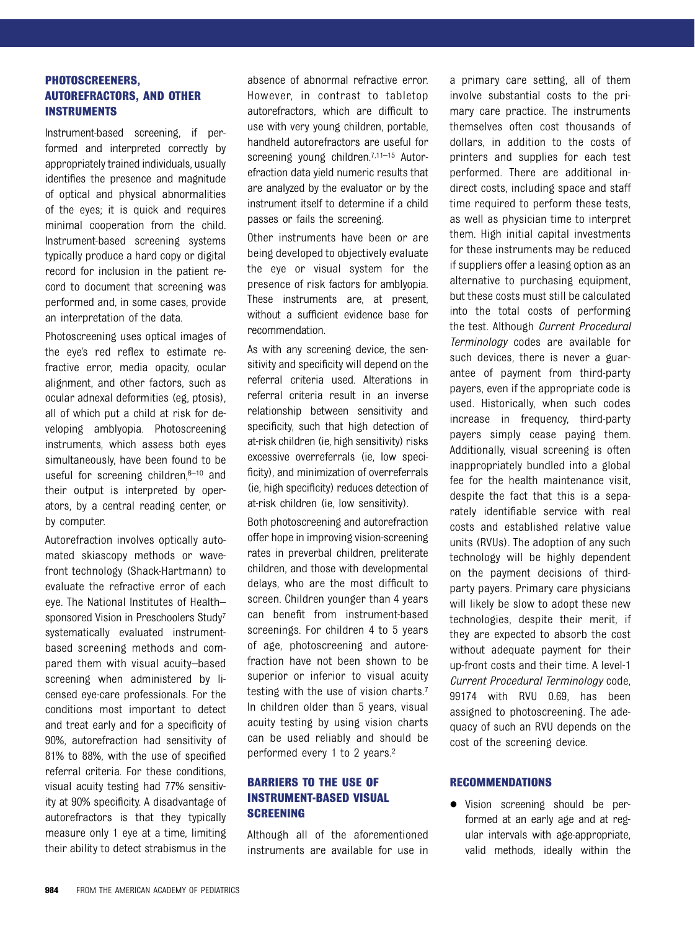## PHOTOSCREENERS, AUTOREFRACTORS, AND OTHER INSTRUMENTS

Instrument-based screening, if performed and interpreted correctly by appropriately trained individuals, usually identifies the presence and magnitude of optical and physical abnormalities of the eyes; it is quick and requires minimal cooperation from the child. Instrument-based screening systems typically produce a hard copy or digital record for inclusion in the patient record to document that screening was performed and, in some cases, provide an interpretation of the data.

Photoscreening uses optical images of the eye's red reflex to estimate refractive error, media opacity, ocular alignment, and other factors, such as ocular adnexal deformities (eg, ptosis), all of which put a child at risk for developing amblyopia. Photoscreening instruments, which assess both eyes simultaneously, have been found to be useful for screening children, $6-10$  and their output is interpreted by operators, by a central reading center, or by computer.

Autorefraction involves optically automated skiascopy methods or wavefront technology (Shack-Hartmann) to evaluate the refractive error of each eye. The National Institutes of Health– sponsored Vision in Preschoolers Study<sup>7</sup> systematically evaluated instrumentbased screening methods and compared them with visual acuity–based screening when administered by licensed eye-care professionals. For the conditions most important to detect and treat early and for a specificity of 90%, autorefraction had sensitivity of 81% to 88%, with the use of specified referral criteria. For these conditions, visual acuity testing had 77% sensitivity at 90% specificity. A disadvantage of autorefractors is that they typically measure only 1 eye at a time, limiting their ability to detect strabismus in the

absence of abnormal refractive error. However, in contrast to tabletop autorefractors, which are difficult to use with very young children, portable, handheld autorefractors are useful for screening young children.<sup>7,11–15</sup> Autorefraction data yield numeric results that are analyzed by the evaluator or by the instrument itself to determine if a child passes or fails the screening.

Other instruments have been or are being developed to objectively evaluate the eye or visual system for the presence of risk factors for amblyopia. These instruments are, at present, without a sufficient evidence base for recommendation.

As with any screening device, the sensitivity and specificity will depend on the referral criteria used. Alterations in referral criteria result in an inverse relationship between sensitivity and specificity, such that high detection of at-risk children (ie, high sensitivity) risks excessive overreferrals (ie, low specificity), and minimization of overreferrals (ie, high specificity) reduces detection of at-risk children (ie, low sensitivity).

Both photoscreening and autorefraction offer hope in improving vision-screening rates in preverbal children, preliterate children, and those with developmental delays, who are the most difficult to screen. Children younger than 4 years can benefit from instrument-based screenings. For children 4 to 5 years of age, photoscreening and autorefraction have not been shown to be superior or inferior to visual acuity testing with the use of vision charts.7 In children older than 5 years, visual acuity testing by using vision charts can be used reliably and should be performed every 1 to 2 years.2

## BARRIERS TO THE USE OF INSTRUMENT-BASED VISUAL **SCREENING**

Although all of the aforementioned instruments are available for use in a primary care setting, all of them involve substantial costs to the primary care practice. The instruments themselves often cost thousands of dollars, in addition to the costs of printers and supplies for each test performed. There are additional indirect costs, including space and staff time required to perform these tests, as well as physician time to interpret them. High initial capital investments for these instruments may be reduced if suppliers offer a leasing option as an alternative to purchasing equipment, but these costs must still be calculated into the total costs of performing the test. Although Current Procedural Terminology codes are available for such devices, there is never a guarantee of payment from third-party payers, even if the appropriate code is used. Historically, when such codes increase in frequency, third-party payers simply cease paying them. Additionally, visual screening is often inappropriately bundled into a global fee for the health maintenance visit, despite the fact that this is a separately identifiable service with real costs and established relative value units (RVUs). The adoption of any such technology will be highly dependent on the payment decisions of thirdparty payers. Primary care physicians will likely be slow to adopt these new technologies, despite their merit, if they are expected to absorb the cost without adequate payment for their up-front costs and their time. A level-1 Current Procedural Terminology code, 99174 with RVU 0.69, has been assigned to photoscreening. The adequacy of such an RVU depends on the cost of the screening device.

## RECOMMENDATIONS

• Vision screening should be performed at an early age and at regular intervals with age-appropriate, valid methods, ideally within the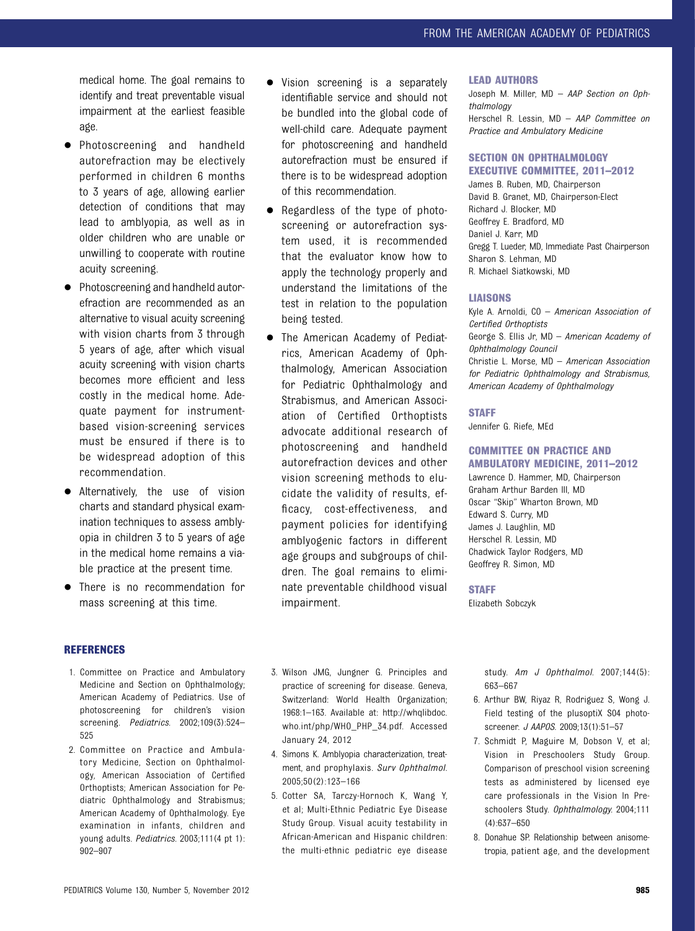medical home. The goal remains to identify and treat preventable visual impairment at the earliest feasible age.

- Photoscreening and handheld autorefraction may be electively performed in children 6 months to 3 years of age, allowing earlier detection of conditions that may lead to amblyopia, as well as in older children who are unable or unwilling to cooperate with routine acuity screening.
- Photoscreening and handheld autorefraction are recommended as an alternative to visual acuity screening with vision charts from 3 through 5 years of age, after which visual acuity screening with vision charts becomes more efficient and less costly in the medical home. Adequate payment for instrumentbased vision-screening services must be ensured if there is to be widespread adoption of this recommendation.
- Alternatively, the use of vision charts and standard physical examination techniques to assess amblyopia in children 3 to 5 years of age in the medical home remains a viable practice at the present time.
- There is no recommendation for mass screening at this time.
- Vision screening is a separately identifiable service and should not be bundled into the global code of well-child care. Adequate payment for photoscreening and handheld autorefraction must be ensured if there is to be widespread adoption of this recommendation.
- Regardless of the type of photoscreening or autorefraction system used, it is recommended that the evaluator know how to apply the technology properly and understand the limitations of the test in relation to the population being tested.
- The American Academy of Pediatrics, American Academy of Ophthalmology, American Association for Pediatric Ophthalmology and Strabismus, and American Association of Certified Orthoptists advocate additional research of photoscreening and handheld autorefraction devices and other vision screening methods to elucidate the validity of results, efficacy, cost-effectiveness, and payment policies for identifying amblyogenic factors in different age groups and subgroups of children. The goal remains to eliminate preventable childhood visual impairment.

#### LEAD AUTHORS

Joseph M. Miller, MD – AAP Section on Ophthalmology Herschel R. Lessin, MD – AAP Committee on Practice and Ambulatory Medicine

#### SECTION ON OPHTHALMOLOGY EXECUTIVE COMMITTEE, 2011–2012

James B. Ruben, MD, Chairperson David B. Granet, MD, Chairperson-Elect Richard J. Blocker, MD Geoffrey E. Bradford, MD Daniel J. Karr, MD Gregg T. Lueder, MD, Immediate Past Chairperson Sharon S. Lehman, MD R. Michael Siatkowski, MD

## LIAISONS

Kyle A. Arnoldi,  $CO - American Association of$ Certified Orthoptists George S. Ellis Jr, MD – American Academy of Ophthalmology Council Christie L. Morse, MD – American Association for Pediatric Ophthalmology and Strabismus, American Academy of Ophthalmology

#### **STAFF**

Jennifer G. Riefe, MEd

### COMMITTEE ON PRACTICE AND AMBULATORY MEDICINE, 2011–2012

Lawrence D. Hammer, MD, Chairperson Graham Arthur Barden III, MD Oscar "Skip" Wharton Brown, MD Edward S. Curry, MD James J. Laughlin, MD Herschel R. Lessin, MD Chadwick Taylor Rodgers, MD Geoffrey R. Simon, MD

## STAFF

Elizabeth Sobczyk

### **REFERENCES**

- 1. Committee on Practice and Ambulatory Medicine and Section on Ophthalmology; American Academy of Pediatrics. Use of photoscreening for children's vision screening. Pediatrics. 2002;109(3):524– 525
- 2. Committee on Practice and Ambulatory Medicine, Section on Ophthalmology, American Association of Certified Orthoptists; American Association for Pediatric Ophthalmology and Strabismus; American Academy of Ophthalmology. Eye examination in infants, children and young adults. Pediatrics. 2003;111(4 pt 1): 902–907
- 3. Wilson JMG, Jungner G. Principles and practice of screening for disease. Geneva, Switzerland: World Health Organization; 1968:1–163. Available at: [http://whqlibdoc.](http://whqlibdoc.who.int/php/WHO_PHP_34.pdf) [who.int/php/WHO\\_PHP\\_34.pdf.](http://whqlibdoc.who.int/php/WHO_PHP_34.pdf) Accessed January 24, 2012
- 4. Simons K. Amblyopia characterization, treatment, and prophylaxis. Surv Ophthalmol. 2005;50(2):123–166
- 5. Cotter SA, Tarczy-Hornoch K, Wang Y, et al; Multi-Ethnic Pediatric Eye Disease Study Group. Visual acuity testability in African-American and Hispanic children: the multi-ethnic pediatric eye disease

study. Am J Ophthalmol. 2007;144(5): 663–667

- 6. Arthur BW, Riyaz R, Rodriguez S, Wong J. Field testing of the plusoptiX S04 photoscreener. J AAPOS. 2009;13(1):51-57
- 7. Schmidt P, Maguire M, Dobson V, et al; Vision in Preschoolers Study Group. Comparison of preschool vision screening tests as administered by licensed eye care professionals in the Vision In Preschoolers Study. Ophthalmology. 2004;111 (4):637–650
- 8. Donahue SP. Relationship between anisometropia, patient age, and the development